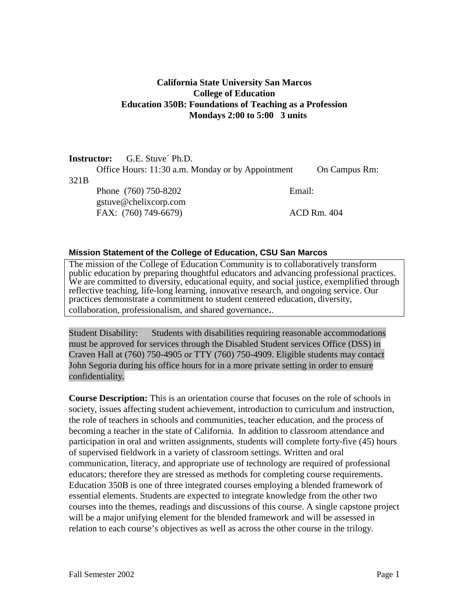## **California State University San Marcos College of Education Education 350B: Foundations of Teaching as a Profession Mondays 2:00 to 5:00 3 units**

|                  | <b>Instructor:</b> G.E. Stuve Ph.D.               |               |
|------------------|---------------------------------------------------|---------------|
|                  | Office Hours: 11:30 a.m. Monday or by Appointment | On Campus Rm: |
| 321 <sub>B</sub> |                                                   |               |
|                  | Phone (760) 750-8202                              | Email:        |
|                  | gstuve@chelixcorp.com                             |               |
|                  | FAX: (760) 749-6679)                              | ACD Rm. 404   |

#### **Mission Statement of the College of Education, CSU San Marcos**

The mission of the College of Education Community is to collaboratively transform public education by preparing thoughtful educators and advancing professional practices. We are committed to diversity, educational equity, and social justice, exemplified through reflective teaching, life-long learning, innovative research, and ongoing service. Our practices demonstrate a commitment to student centered education, diversity, collaboration, professionalism, and shared governance..

Student Disability: Students with disabilities requiring reasonable accommodations must be approved for services through the Disabled Student services Office (DSS) in Craven Hall at (760) 750-4905 or TTY (760) 750-4909. Eligible students may contact John Segoria during his office hours for in a more private setting in order to ensure confidentiality.

**Course Description:** This is an orientation course that focuses on the role of schools in society, issues affecting student achievement, introduction to curriculum and instruction, the role of teachers in schools and communities, teacher education, and the process of becoming a teacher in the state of California. In addition to classroom attendance and participation in oral and written assignments, students will complete forty-five (45) hours of supervised fieldwork in a variety of classroom settings. Written and oral communication, literacy, and appropriate use of technology are required of professional educators; therefore they are stressed as methods for completing course requirements. Education 350B is one of three integrated courses employing a blended framework of essential elements. Students are expected to integrate knowledge from the other two courses into the themes, readings and discussions of this course. A single capstone project will be a major unifying element for the blended framework and will be assessed in relation to each course's objectives as well as across the other course in the trilogy.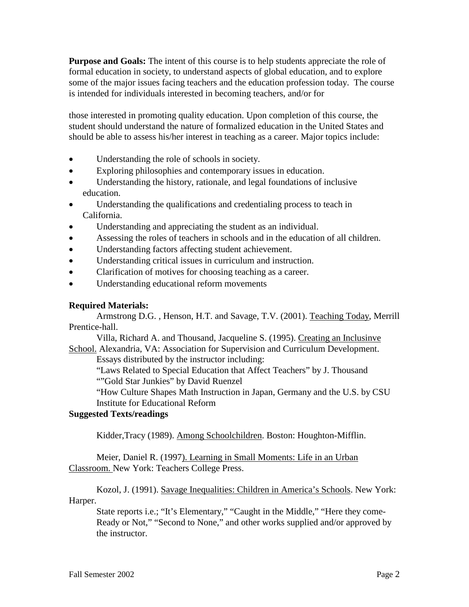**Purpose and Goals:** The intent of this course is to help students appreciate the role of formal education in society, to understand aspects of global education, and to explore some of the major issues facing teachers and the education profession today. The course is intended for individuals interested in becoming teachers, and/or for

those interested in promoting quality education. Upon completion of this course, the student should understand the nature of formalized education in the United States and should be able to assess his/her interest in teaching as a career. Major topics include:

- Understanding the role of schools in society.
- Exploring philosophies and contemporary issues in education.
- Understanding the history, rationale, and legal foundations of inclusive education.
- Understanding the qualifications and credentialing process to teach in California.
- Understanding and appreciating the student as an individual.
- Assessing the roles of teachers in schools and in the education of all children.
- Understanding factors affecting student achievement.
- Understanding critical issues in curriculum and instruction.
- Clarification of motives for choosing teaching as a career.
- Understanding educational reform movements

### **Required Materials:**

Armstrong D.G. , Henson, H.T. and Savage, T.V. (2001). Teaching Today, Merrill Prentice-hall.

Villa, Richard A. and Thousand, Jacqueline S. (1995). Creating an Inclusinve School. Alexandria, VA: Association for Supervision and Curriculum Development.

Essays distributed by the instructor including:

"Laws Related to Special Education that Affect Teachers" by J. Thousand ""Gold Star Junkies" by David Ruenzel

"How Culture Shapes Math Instruction in Japan, Germany and the U.S. by CSU Institute for Educational Reform

## **Suggested Texts/readings**

Kidder,Tracy (1989). Among Schoolchildren. Boston: Houghton-Mifflin.

Meier, Daniel R. (1997). Learning in Small Moments: Life in an Urban Classroom. New York: Teachers College Press.

Kozol, J. (1991). Savage Inequalities: Children in America's Schools. New York: Harper.

State reports i.e.; "It's Elementary," "Caught in the Middle," "Here they come-Ready or Not," "Second to None," and other works supplied and/or approved by the instructor.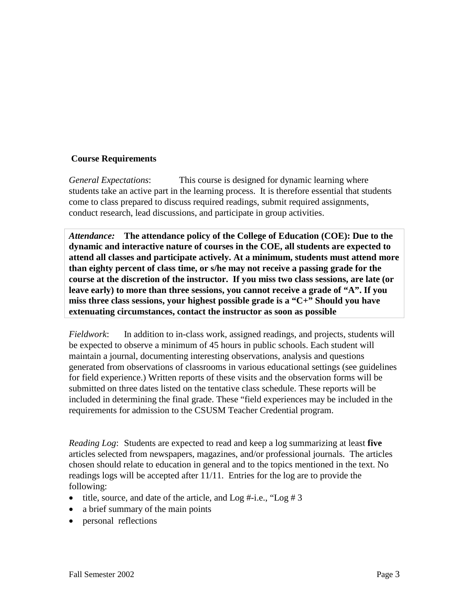### **Course Requirements**

*General Expectations*: This course is designed for dynamic learning where students take an active part in the learning process. It is therefore essential that students come to class prepared to discuss required readings, submit required assignments, conduct research, lead discussions, and participate in group activities.

*Attendance:* **The attendance policy of the College of Education (COE): Due to the dynamic and interactive nature of courses in the COE, all students are expected to attend all classes and participate actively. At a minimum, students must attend more than eighty percent of class time, or s/he may not receive a passing grade for the course at the discretion of the instructor. If you miss two class sessions, are late (or leave early) to more than three sessions, you cannot receive a grade of "A". If you miss three class sessions, your highest possible grade is a "C+" Should you have extenuating circumstances, contact the instructor as soon as possible**

*Fieldwork*: In addition to in-class work, assigned readings, and projects, students will be expected to observe a minimum of 45 hours in public schools. Each student will maintain a journal, documenting interesting observations, analysis and questions generated from observations of classrooms in various educational settings (see guidelines for field experience.) Written reports of these visits and the observation forms will be submitted on three dates listed on the tentative class schedule. These reports will be included in determining the final grade. These "field experiences may be included in the requirements for admission to the CSUSM Teacher Credential program.

*Reading Log*: Students are expected to read and keep a log summarizing at least **five** articles selected from newspapers, magazines, and/or professional journals. The articles chosen should relate to education in general and to the topics mentioned in the text. No readings logs will be accepted after 11/11. Entries for the log are to provide the following:

- title, source, and date of the article, and  $Log #-i.e., "Log # 3$
- a brief summary of the main points
- personal reflections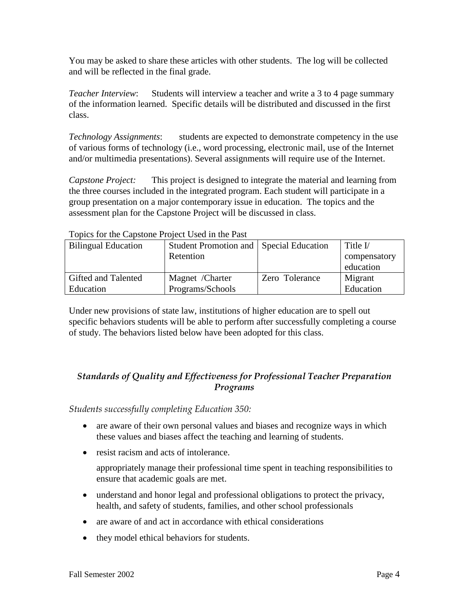You may be asked to share these articles with other students. The log will be collected and will be reflected in the final grade.

*Teacher Interview*: Students will interview a teacher and write a 3 to 4 page summary of the information learned. Specific details will be distributed and discussed in the first class.

*Technology Assignments*: students are expected to demonstrate competency in the use of various forms of technology (i.e., word processing, electronic mail, use of the Internet and/or multimedia presentations). Several assignments will require use of the Internet.

*Capstone Project:* This project is designed to integrate the material and learning from the three courses included in the integrated program. Each student will participate in a group presentation on a major contemporary issue in education. The topics and the assessment plan for the Capstone Project will be discussed in class.

| TOPICS TOT the Capstone I Toject Osca III the I ast |                       |                          |              |  |
|-----------------------------------------------------|-----------------------|--------------------------|--------------|--|
| <b>Bilingual Education</b>                          | Student Promotion and | <b>Special Education</b> | Title $V$    |  |
|                                                     | Retention             |                          | compensatory |  |
|                                                     |                       |                          | education    |  |
| Gifted and Talented                                 | Magnet /Charter       | Zero Tolerance           | Migrant      |  |
| Education                                           | Programs/Schools      |                          | Education    |  |

Topics for the Capstone Project Used in the Past

Under new provisions of state law, institutions of higher education are to spell out specific behaviors students will be able to perform after successfully completing a course of study. The behaviors listed below have been adopted for this class.

# *Standards of Quality and Effectiveness for Professional Teacher Preparation Programs*

*Students successfully completing Education 350:*

- are aware of their own personal values and biases and recognize ways in which these values and biases affect the teaching and learning of students.
- resist racism and acts of intolerance.

appropriately manage their professional time spent in teaching responsibilities to ensure that academic goals are met.

- understand and honor legal and professional obligations to protect the privacy, health, and safety of students, families, and other school professionals
- are aware of and act in accordance with ethical considerations
- they model ethical behaviors for students.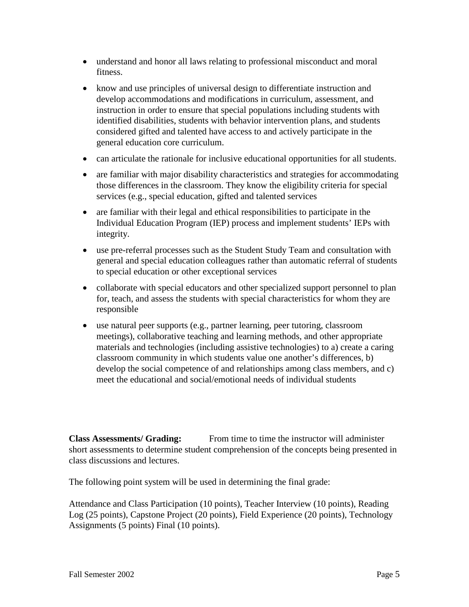- understand and honor all laws relating to professional misconduct and moral fitness.
- know and use principles of universal design to differentiate instruction and develop accommodations and modifications in curriculum, assessment, and instruction in order to ensure that special populations including students with identified disabilities, students with behavior intervention plans, and students considered gifted and talented have access to and actively participate in the general education core curriculum.
- can articulate the rationale for inclusive educational opportunities for all students.
- are familiar with major disability characteristics and strategies for accommodating those differences in the classroom. They know the eligibility criteria for special services (e.g., special education, gifted and talented services
- are familiar with their legal and ethical responsibilities to participate in the Individual Education Program (IEP) process and implement students' IEPs with integrity.
- use pre-referral processes such as the Student Study Team and consultation with general and special education colleagues rather than automatic referral of students to special education or other exceptional services
- collaborate with special educators and other specialized support personnel to plan for, teach, and assess the students with special characteristics for whom they are responsible
- use natural peer supports (e.g., partner learning, peer tutoring, classroom meetings), collaborative teaching and learning methods, and other appropriate materials and technologies (including assistive technologies) to a) create a caring classroom community in which students value one another's differences, b) develop the social competence of and relationships among class members, and c) meet the educational and social/emotional needs of individual students

**Class Assessments/ Grading:** From time to time the instructor will administer short assessments to determine student comprehension of the concepts being presented in class discussions and lectures.

The following point system will be used in determining the final grade:

Attendance and Class Participation (10 points), Teacher Interview (10 points), Reading Log (25 points), Capstone Project (20 points), Field Experience (20 points), Technology Assignments (5 points) Final (10 points).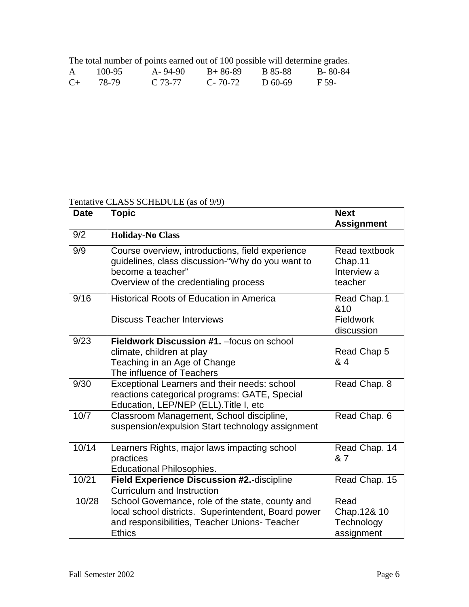The total number of points earned out of 100 possible will determine grades.

|           | $100 - 95$ | $A - 94 - 90$ | $B+86-89$     | B 85-88   | $B - 80 - 84$ |
|-----------|------------|---------------|---------------|-----------|---------------|
| $C_{\pm}$ | 78-79      | C 73-77       | $C - 70 - 72$ | D $60-69$ | F 59-         |

Tentative CLASS SCHEDULE (as of 9/9)

| <b>Date</b> | <b>Topic</b>                                                                                                                                                              | <b>Next</b>                                          |
|-------------|---------------------------------------------------------------------------------------------------------------------------------------------------------------------------|------------------------------------------------------|
|             |                                                                                                                                                                           | <b>Assignment</b>                                    |
| 9/2         | <b>Holiday-No Class</b>                                                                                                                                                   |                                                      |
| 9/9         | Course overview, introductions, field experience<br>guidelines, class discussion-"Why do you want to<br>become a teacher"<br>Overview of the credentialing process        | Read textbook<br>Chap.11<br>Interview a<br>teacher   |
| 9/16        | <b>Historical Roots of Education in America</b><br><b>Discuss Teacher Interviews</b>                                                                                      | Read Chap.1<br>&10<br><b>Fieldwork</b><br>discussion |
| 9/23        | Fieldwork Discussion #1. - focus on school<br>climate, children at play<br>Teaching in an Age of Change<br>The influence of Teachers                                      | Read Chap 5<br>& 4                                   |
| 9/30        | Exceptional Learners and their needs: school<br>reactions categorical programs: GATE, Special<br>Education, LEP/NEP (ELL). Title I, etc                                   | Read Chap. 8                                         |
| 10/7        | Classroom Management, School discipline,<br>suspension/expulsion Start technology assignment                                                                              | Read Chap. 6                                         |
| 10/14       | Learners Rights, major laws impacting school<br>practices<br><b>Educational Philosophies.</b>                                                                             | Read Chap. 14<br>& 7                                 |
| 10/21       | Field Experience Discussion #2.-discipline<br><b>Curriculum and Instruction</b>                                                                                           | Read Chap. 15                                        |
| 10/28       | School Governance, role of the state, county and<br>local school districts. Superintendent, Board power<br>and responsibilities, Teacher Unions- Teacher<br><b>Ethics</b> | Read<br>Chap.12& 10<br>Technology<br>assignment      |